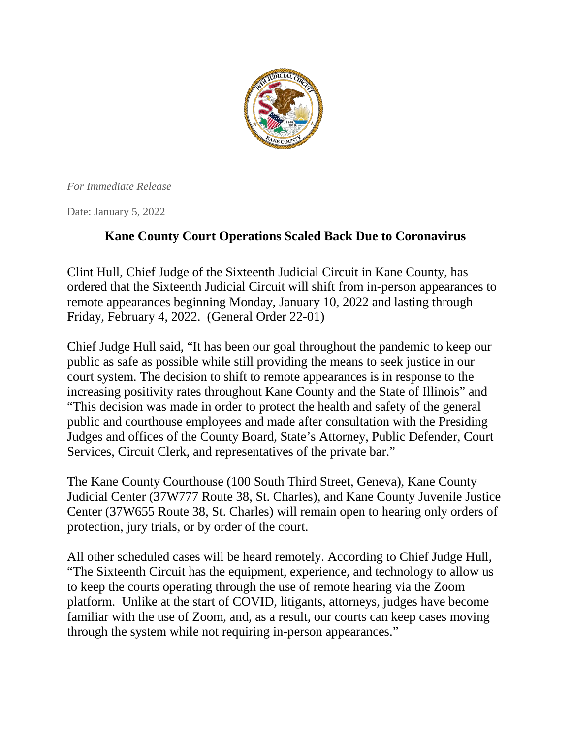

*For Immediate Release*

Date: January 5, 2022

## **Kane County Court Operations Scaled Back Due to Coronavirus**

Clint Hull, Chief Judge of the Sixteenth Judicial Circuit in Kane County, has ordered that the Sixteenth Judicial Circuit will shift from in-person appearances to remote appearances beginning Monday, January 10, 2022 and lasting through Friday, February 4, 2022. (General Order 22-01)

Chief Judge Hull said, "It has been our goal throughout the pandemic to keep our public as safe as possible while still providing the means to seek justice in our court system. The decision to shift to remote appearances is in response to the increasing positivity rates throughout Kane County and the State of Illinois" and "This decision was made in order to protect the health and safety of the general public and courthouse employees and made after consultation with the Presiding Judges and offices of the County Board, State's Attorney, Public Defender, Court Services, Circuit Clerk, and representatives of the private bar."

The Kane County Courthouse (100 South Third Street, Geneva), Kane County Judicial Center (37W777 Route 38, St. Charles), and Kane County Juvenile Justice Center (37W655 Route 38, St. Charles) will remain open to hearing only orders of protection, jury trials, or by order of the court.

All other scheduled cases will be heard remotely. According to Chief Judge Hull, "The Sixteenth Circuit has the equipment, experience, and technology to allow us to keep the courts operating through the use of remote hearing via the Zoom platform. Unlike at the start of COVID, litigants, attorneys, judges have become familiar with the use of Zoom, and, as a result, our courts can keep cases moving through the system while not requiring in-person appearances."